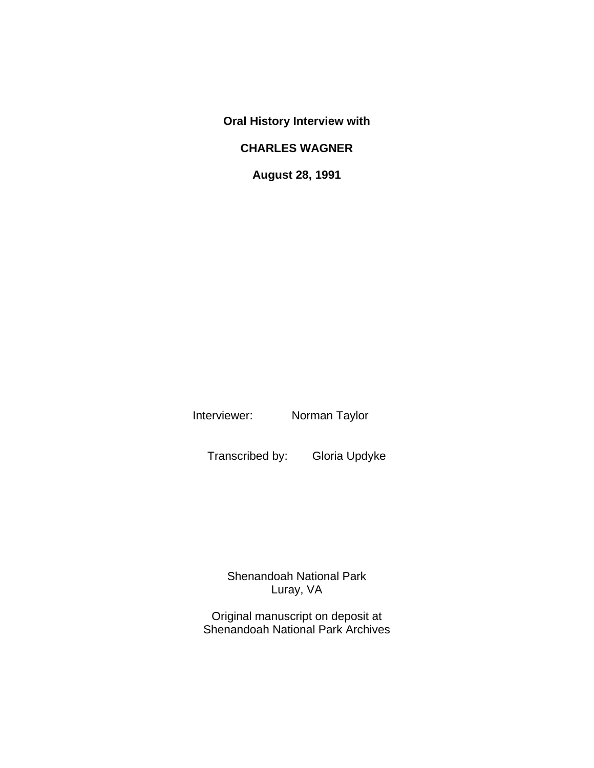**Oral History Interview with**

## **CHARLES WAGNER**

**August 28, 1991**

Interviewer: Norman Taylor

Transcribed by: Gloria Updyke

Shenandoah National Park Luray, VA

Original manuscript on deposit at Shenandoah National Park Archives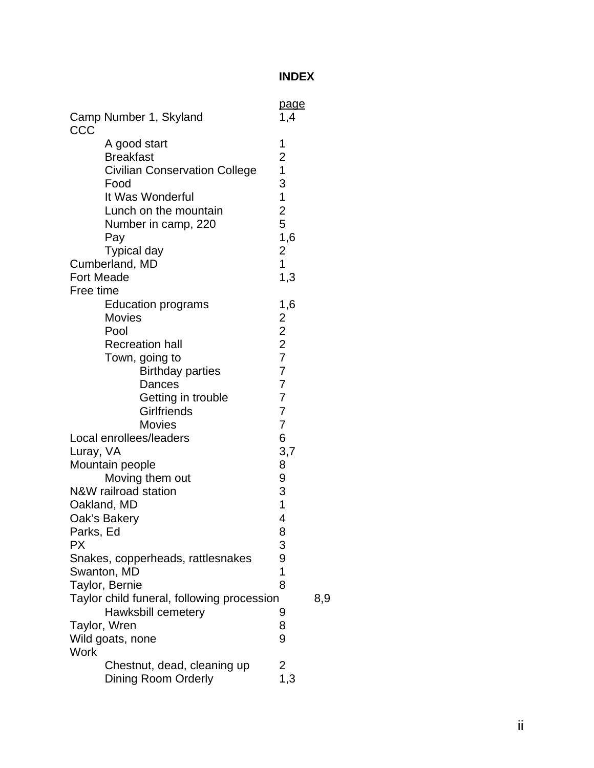## **INDEX**

| CCC                                 | Camp Number 1, Skyland                                                                                                                                                                                                                                                                                              | page<br>1,4                                                                                                                                           |  |
|-------------------------------------|---------------------------------------------------------------------------------------------------------------------------------------------------------------------------------------------------------------------------------------------------------------------------------------------------------------------|-------------------------------------------------------------------------------------------------------------------------------------------------------|--|
| <b>Fort Meade</b><br>Free time      | A good start<br><b>Breakfast</b><br><b>Civilian Conservation College</b><br>Food<br>It Was Wonderful<br>Lunch on the mountain<br>Number in camp, 220<br>Pay<br><b>Typical day</b><br>Cumberland, MD                                                                                                                 | 1<br>$\overline{\mathbf{c}}$<br>$\overline{1}$<br>3<br>$\mathbf{1}$<br>$\overline{c}$<br>5<br>1,6<br>$\overline{\mathbf{c}}$<br>$\overline{1}$<br>1,3 |  |
|                                     | Education programs<br><b>Movies</b><br>Pool<br><b>Recreation hall</b><br>Town, going to<br><b>Birthday parties</b><br>Dances<br>Getting in trouble<br><b>Girlfriends</b>                                                                                                                                            | 1,6<br>$\overline{\mathbf{c}}$<br>$\frac{2}{2}$<br>$\overline{7}$<br>$\overline{7}$<br>$\overline{7}$<br>$\overline{7}$<br>$\overline{7}$             |  |
| Luray, VA<br>Parks, Ed<br><b>PX</b> | <b>Movies</b><br>Local enrollees/leaders<br>Mountain people<br>Moving them out<br>N&W railroad station<br>Oakland, MD<br>Oak's Bakery<br>Snakes, copperheads, rattlesnakes<br>Swanton, MD<br>Taylor, Bernie<br>Taylor child funeral, following procession<br>Hawksbill cemetery<br>Taylor, Wren<br>Wild goats, none | $\overline{7}$<br>6<br>3,7<br>8<br>9<br>3<br>$\mathbf 1$<br>4<br>8<br>3<br>9<br>1<br>8<br>8,9<br>9<br>8<br>9                                          |  |
| <b>Work</b>                         | Chestnut, dead, cleaning up<br><b>Dining Room Orderly</b>                                                                                                                                                                                                                                                           | $2$<br>1,3                                                                                                                                            |  |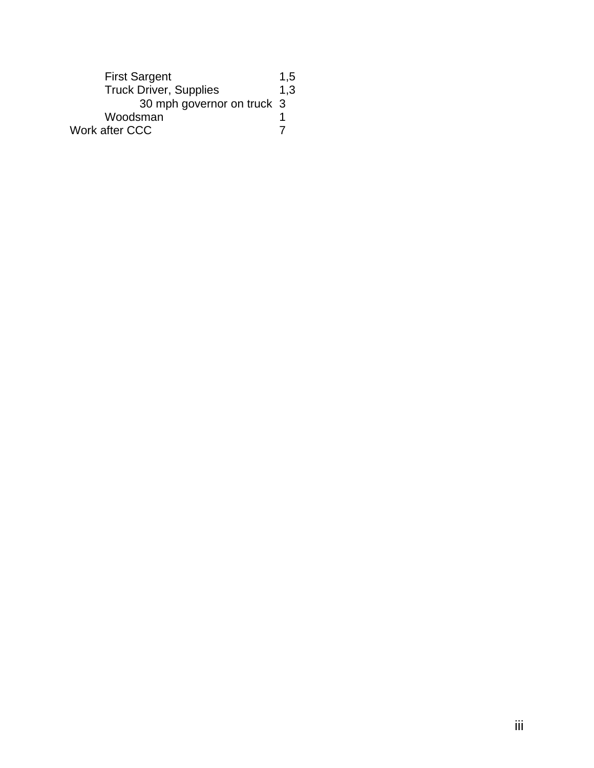| <b>First Sargent</b>          |     |
|-------------------------------|-----|
| <b>Truck Driver, Supplies</b> | 1,3 |
| 30 mph governor on truck 3    |     |
| Woodsman                      |     |
| Work after CCC                |     |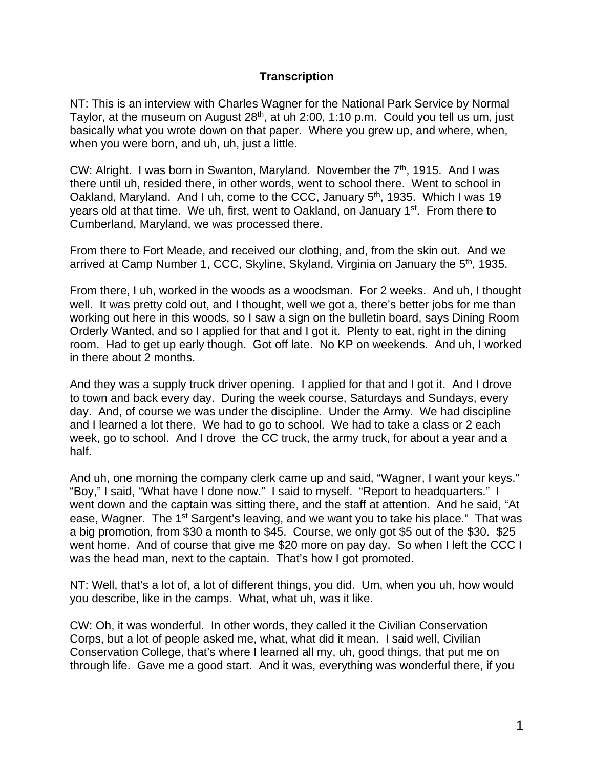## **Transcription**

NT: This is an interview with Charles Wagner for the National Park Service by Normal Taylor, at the museum on August 28<sup>th</sup>, at uh 2:00, 1:10 p.m. Could you tell us um, just basically what you wrote down on that paper. Where you grew up, and where, when, when you were born, and uh, uh, just a little.

CW: Alright. I was born in Swanton, Maryland. November the  $7<sup>th</sup>$ , 1915. And I was there until uh, resided there, in other words, went to school there. Went to school in Oakland, Maryland. And I uh, come to the CCC, January 5<sup>th</sup>, 1935. Which I was 19 years old at that time. We uh, first, went to Oakland, on January 1<sup>st</sup>. From there to Cumberland, Maryland, we was processed there.

From there to Fort Meade, and received our clothing, and, from the skin out. And we arrived at Camp Number 1, CCC, Skyline, Skyland, Virginia on January the 5th, 1935.

From there, I uh, worked in the woods as a woodsman. For 2 weeks. And uh, I thought well. It was pretty cold out, and I thought, well we got a, there's better jobs for me than working out here in this woods, so I saw a sign on the bulletin board, says Dining Room Orderly Wanted, and so I applied for that and I got it. Plenty to eat, right in the dining room. Had to get up early though. Got off late. No KP on weekends. And uh, I worked in there about 2 months.

And they was a supply truck driver opening. I applied for that and I got it. And I drove to town and back every day. During the week course, Saturdays and Sundays, every day. And, of course we was under the discipline. Under the Army. We had discipline and I learned a lot there. We had to go to school. We had to take a class or 2 each week, go to school. And I drove the CC truck, the army truck, for about a year and a half.

And uh, one morning the company clerk came up and said, "Wagner, I want your keys." "Boy," I said, "What have I done now." I said to myself. "Report to headquarters." I went down and the captain was sitting there, and the staff at attention. And he said, "At ease, Wagner. The 1<sup>st</sup> Sargent's leaving, and we want you to take his place." That was a big promotion, from \$30 a month to \$45. Course, we only got \$5 out of the \$30. \$25 went home. And of course that give me \$20 more on pay day. So when I left the CCC I was the head man, next to the captain. That's how I got promoted.

NT: Well, that's a lot of, a lot of different things, you did. Um, when you uh, how would you describe, like in the camps. What, what uh, was it like.

CW: Oh, it was wonderful. In other words, they called it the Civilian Conservation Corps, but a lot of people asked me, what, what did it mean. I said well, Civilian Conservation College, that's where I learned all my, uh, good things, that put me on through life. Gave me a good start. And it was, everything was wonderful there, if you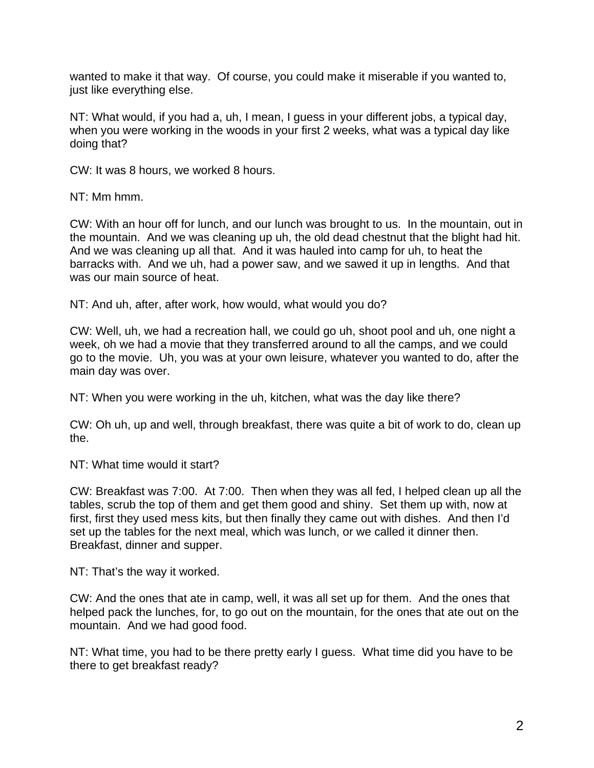wanted to make it that way. Of course, you could make it miserable if you wanted to, just like everything else.

NT: What would, if you had a, uh, I mean, I guess in your different jobs, a typical day, when you were working in the woods in your first 2 weeks, what was a typical day like doing that?

CW: It was 8 hours, we worked 8 hours.

NT: Mm hmm.

CW: With an hour off for lunch, and our lunch was brought to us. In the mountain, out in the mountain. And we was cleaning up uh, the old dead chestnut that the blight had hit. And we was cleaning up all that. And it was hauled into camp for uh, to heat the barracks with. And we uh, had a power saw, and we sawed it up in lengths. And that was our main source of heat.

NT: And uh, after, after work, how would, what would you do?

CW: Well, uh, we had a recreation hall, we could go uh, shoot pool and uh, one night a week, oh we had a movie that they transferred around to all the camps, and we could go to the movie. Uh, you was at your own leisure, whatever you wanted to do, after the main day was over.

NT: When you were working in the uh, kitchen, what was the day like there?

CW: Oh uh, up and well, through breakfast, there was quite a bit of work to do, clean up the.

NT: What time would it start?

CW: Breakfast was 7:00. At 7:00. Then when they was all fed, I helped clean up all the tables, scrub the top of them and get them good and shiny. Set them up with, now at first, first they used mess kits, but then finally they came out with dishes. And then I'd set up the tables for the next meal, which was lunch, or we called it dinner then. Breakfast, dinner and supper.

NT: That's the way it worked.

CW: And the ones that ate in camp, well, it was all set up for them. And the ones that helped pack the lunches, for, to go out on the mountain, for the ones that ate out on the mountain. And we had good food.

NT: What time, you had to be there pretty early I guess. What time did you have to be there to get breakfast ready?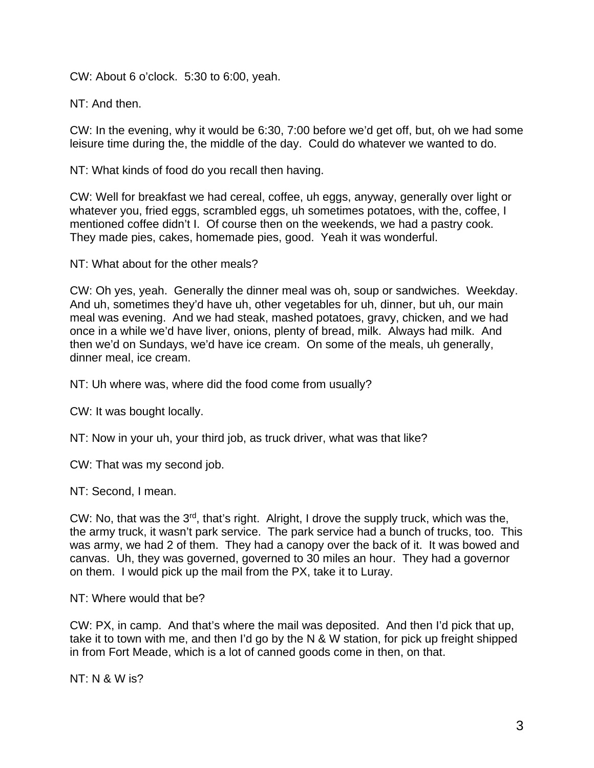CW: About 6 o'clock. 5:30 to 6:00, yeah.

NT: And then.

CW: In the evening, why it would be 6:30, 7:00 before we'd get off, but, oh we had some leisure time during the, the middle of the day. Could do whatever we wanted to do.

NT: What kinds of food do you recall then having.

CW: Well for breakfast we had cereal, coffee, uh eggs, anyway, generally over light or whatever you, fried eggs, scrambled eggs, uh sometimes potatoes, with the, coffee, I mentioned coffee didn't I. Of course then on the weekends, we had a pastry cook. They made pies, cakes, homemade pies, good. Yeah it was wonderful.

NT: What about for the other meals?

CW: Oh yes, yeah. Generally the dinner meal was oh, soup or sandwiches. Weekday. And uh, sometimes they'd have uh, other vegetables for uh, dinner, but uh, our main meal was evening. And we had steak, mashed potatoes, gravy, chicken, and we had once in a while we'd have liver, onions, plenty of bread, milk. Always had milk. And then we'd on Sundays, we'd have ice cream. On some of the meals, uh generally, dinner meal, ice cream.

NT: Uh where was, where did the food come from usually?

CW: It was bought locally.

NT: Now in your uh, your third job, as truck driver, what was that like?

CW: That was my second job.

NT: Second, I mean.

CW: No, that was the 3rd, that's right. Alright, I drove the supply truck, which was the, the army truck, it wasn't park service. The park service had a bunch of trucks, too. This was army, we had 2 of them. They had a canopy over the back of it. It was bowed and canvas. Uh, they was governed, governed to 30 miles an hour. They had a governor on them. I would pick up the mail from the PX, take it to Luray.

NT: Where would that be?

CW: PX, in camp. And that's where the mail was deposited. And then I'd pick that up, take it to town with me, and then I'd go by the N & W station, for pick up freight shipped in from Fort Meade, which is a lot of canned goods come in then, on that.

NT: N & W is?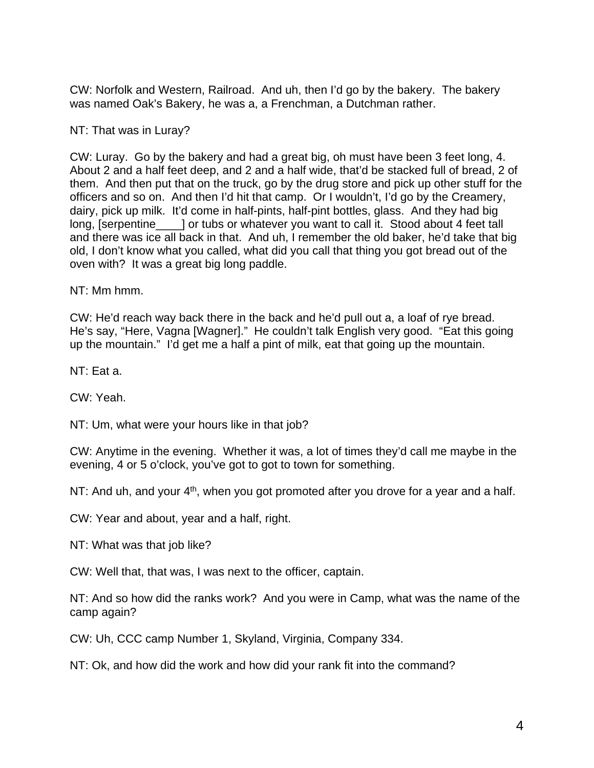CW: Norfolk and Western, Railroad. And uh, then I'd go by the bakery. The bakery was named Oak's Bakery, he was a, a Frenchman, a Dutchman rather.

## NT: That was in Luray?

CW: Luray. Go by the bakery and had a great big, oh must have been 3 feet long, 4. About 2 and a half feet deep, and 2 and a half wide, that'd be stacked full of bread, 2 of them. And then put that on the truck, go by the drug store and pick up other stuff for the officers and so on. And then I'd hit that camp. Or I wouldn't, I'd go by the Creamery, dairy, pick up milk. It'd come in half-pints, half-pint bottles, glass. And they had big long, [serpentine\_\_\_\_\_] or tubs or whatever you want to call it. Stood about 4 feet tall and there was ice all back in that. And uh, I remember the old baker, he'd take that big old, I don't know what you called, what did you call that thing you got bread out of the oven with? It was a great big long paddle.

NT: Mm hmm.

CW: He'd reach way back there in the back and he'd pull out a, a loaf of rye bread. He's say, "Here, Vagna [Wagner]." He couldn't talk English very good. "Eat this going up the mountain." I'd get me a half a pint of milk, eat that going up the mountain.

NT: Eat a.

CW: Yeah.

NT: Um, what were your hours like in that job?

CW: Anytime in the evening. Whether it was, a lot of times they'd call me maybe in the evening, 4 or 5 o'clock, you've got to got to town for something.

NT: And uh, and your  $4<sup>th</sup>$ , when you got promoted after you drove for a year and a half.

CW: Year and about, year and a half, right.

NT: What was that job like?

CW: Well that, that was, I was next to the officer, captain.

NT: And so how did the ranks work? And you were in Camp, what was the name of the camp again?

CW: Uh, CCC camp Number 1, Skyland, Virginia, Company 334.

NT: Ok, and how did the work and how did your rank fit into the command?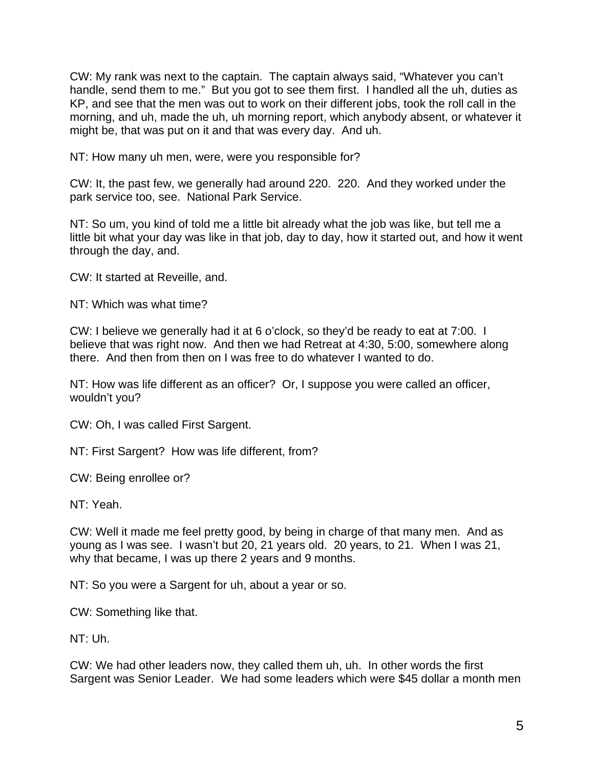CW: My rank was next to the captain. The captain always said, "Whatever you can't handle, send them to me." But you got to see them first. I handled all the uh, duties as KP, and see that the men was out to work on their different jobs, took the roll call in the morning, and uh, made the uh, uh morning report, which anybody absent, or whatever it might be, that was put on it and that was every day. And uh.

NT: How many uh men, were, were you responsible for?

CW: It, the past few, we generally had around 220. 220. And they worked under the park service too, see. National Park Service.

NT: So um, you kind of told me a little bit already what the job was like, but tell me a little bit what your day was like in that job, day to day, how it started out, and how it went through the day, and.

CW: It started at Reveille, and.

NT: Which was what time?

CW: I believe we generally had it at 6 o'clock, so they'd be ready to eat at 7:00. I believe that was right now. And then we had Retreat at 4:30, 5:00, somewhere along there. And then from then on I was free to do whatever I wanted to do.

NT: How was life different as an officer? Or, I suppose you were called an officer, wouldn't you?

CW: Oh, I was called First Sargent.

NT: First Sargent? How was life different, from?

CW: Being enrollee or?

NT: Yeah.

CW: Well it made me feel pretty good, by being in charge of that many men. And as young as I was see. I wasn't but 20, 21 years old. 20 years, to 21. When I was 21, why that became, I was up there 2 years and 9 months.

NT: So you were a Sargent for uh, about a year or so.

CW: Something like that.

NT: Uh.

CW: We had other leaders now, they called them uh, uh. In other words the first Sargent was Senior Leader. We had some leaders which were \$45 dollar a month men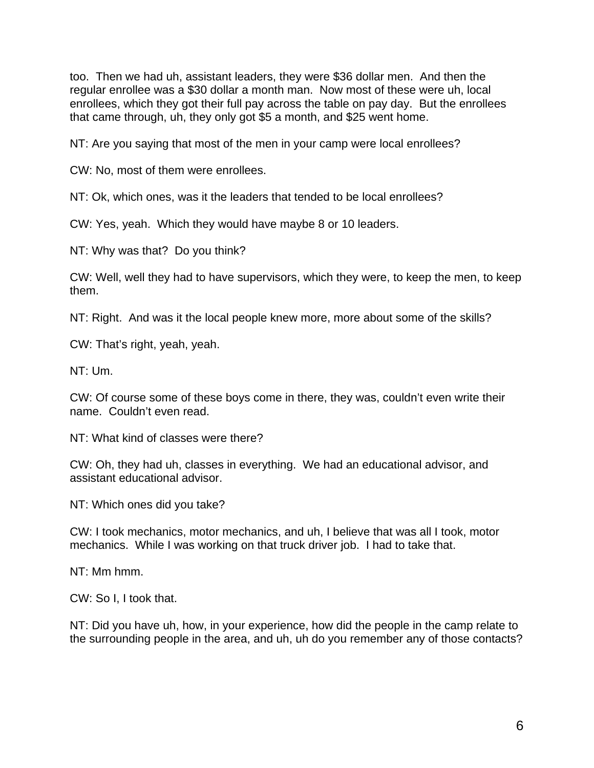too. Then we had uh, assistant leaders, they were \$36 dollar men. And then the regular enrollee was a \$30 dollar a month man. Now most of these were uh, local enrollees, which they got their full pay across the table on pay day. But the enrollees that came through, uh, they only got \$5 a month, and \$25 went home.

NT: Are you saying that most of the men in your camp were local enrollees?

CW: No, most of them were enrollees.

NT: Ok, which ones, was it the leaders that tended to be local enrollees?

CW: Yes, yeah. Which they would have maybe 8 or 10 leaders.

NT: Why was that? Do you think?

CW: Well, well they had to have supervisors, which they were, to keep the men, to keep them.

NT: Right. And was it the local people knew more, more about some of the skills?

CW: That's right, yeah, yeah.

NT: Um.

CW: Of course some of these boys come in there, they was, couldn't even write their name. Couldn't even read.

NT: What kind of classes were there?

CW: Oh, they had uh, classes in everything. We had an educational advisor, and assistant educational advisor.

NT: Which ones did you take?

CW: I took mechanics, motor mechanics, and uh, I believe that was all I took, motor mechanics. While I was working on that truck driver job. I had to take that.

NT: Mm hmm.

CW: So I, I took that.

NT: Did you have uh, how, in your experience, how did the people in the camp relate to the surrounding people in the area, and uh, uh do you remember any of those contacts?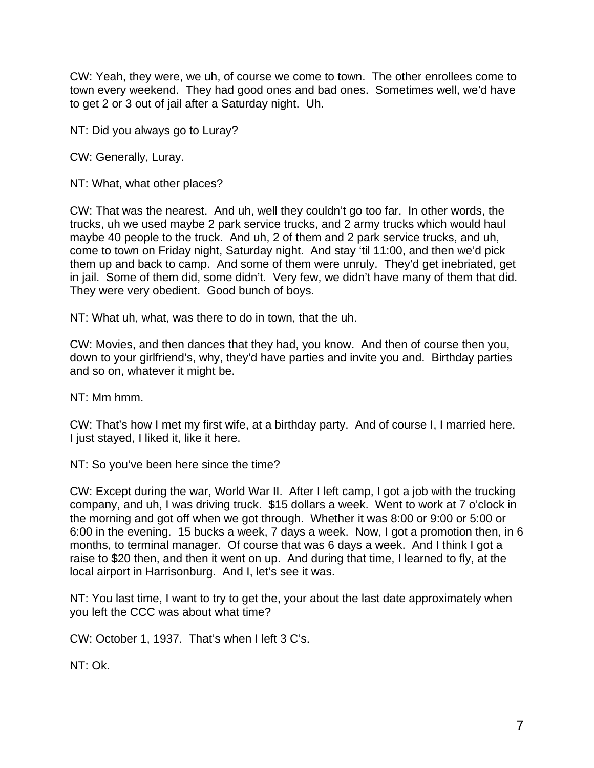CW: Yeah, they were, we uh, of course we come to town. The other enrollees come to town every weekend. They had good ones and bad ones. Sometimes well, we'd have to get 2 or 3 out of jail after a Saturday night. Uh.

NT: Did you always go to Luray?

CW: Generally, Luray.

NT: What, what other places?

CW: That was the nearest. And uh, well they couldn't go too far. In other words, the trucks, uh we used maybe 2 park service trucks, and 2 army trucks which would haul maybe 40 people to the truck. And uh, 2 of them and 2 park service trucks, and uh, come to town on Friday night, Saturday night. And stay 'til 11:00, and then we'd pick them up and back to camp. And some of them were unruly. They'd get inebriated, get in jail. Some of them did, some didn't. Very few, we didn't have many of them that did. They were very obedient. Good bunch of boys.

NT: What uh, what, was there to do in town, that the uh.

CW: Movies, and then dances that they had, you know. And then of course then you, down to your girlfriend's, why, they'd have parties and invite you and. Birthday parties and so on, whatever it might be.

NT: Mm hmm.

CW: That's how I met my first wife, at a birthday party. And of course I, I married here. I just stayed, I liked it, like it here.

NT: So you've been here since the time?

CW: Except during the war, World War II. After I left camp, I got a job with the trucking company, and uh, I was driving truck. \$15 dollars a week. Went to work at 7 o'clock in the morning and got off when we got through. Whether it was 8:00 or 9:00 or 5:00 or 6:00 in the evening. 15 bucks a week, 7 days a week. Now, I got a promotion then, in 6 months, to terminal manager. Of course that was 6 days a week. And I think I got a raise to \$20 then, and then it went on up. And during that time, I learned to fly, at the local airport in Harrisonburg. And I, let's see it was.

NT: You last time, I want to try to get the, your about the last date approximately when you left the CCC was about what time?

CW: October 1, 1937. That's when I left 3 C's.

NT: Ok.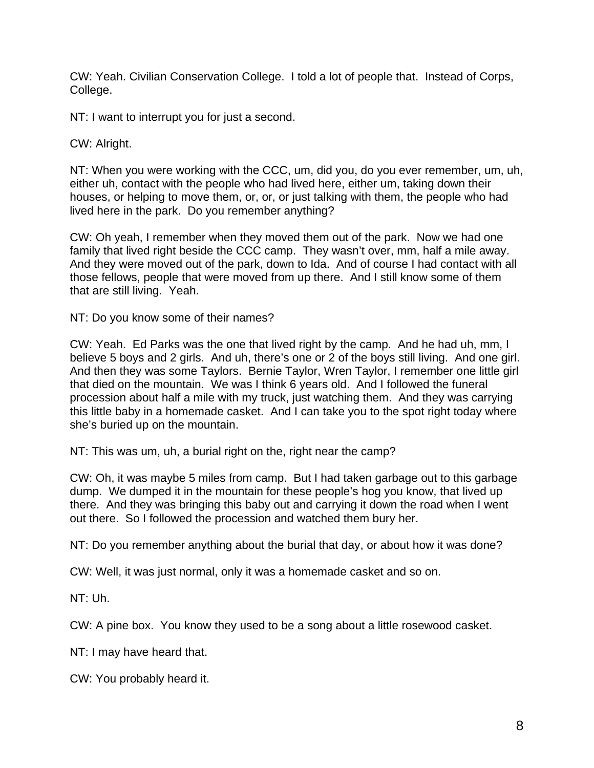CW: Yeah. Civilian Conservation College. I told a lot of people that. Instead of Corps, College.

NT: I want to interrupt you for just a second.

CW: Alright.

NT: When you were working with the CCC, um, did you, do you ever remember, um, uh, either uh, contact with the people who had lived here, either um, taking down their houses, or helping to move them, or, or, or just talking with them, the people who had lived here in the park. Do you remember anything?

CW: Oh yeah, I remember when they moved them out of the park. Now we had one family that lived right beside the CCC camp. They wasn't over, mm, half a mile away. And they were moved out of the park, down to Ida. And of course I had contact with all those fellows, people that were moved from up there. And I still know some of them that are still living. Yeah.

NT: Do you know some of their names?

CW: Yeah. Ed Parks was the one that lived right by the camp. And he had uh, mm, I believe 5 boys and 2 girls. And uh, there's one or 2 of the boys still living. And one girl. And then they was some Taylors. Bernie Taylor, Wren Taylor, I remember one little girl that died on the mountain. We was I think 6 years old. And I followed the funeral procession about half a mile with my truck, just watching them. And they was carrying this little baby in a homemade casket. And I can take you to the spot right today where she's buried up on the mountain.

NT: This was um, uh, a burial right on the, right near the camp?

CW: Oh, it was maybe 5 miles from camp. But I had taken garbage out to this garbage dump. We dumped it in the mountain for these people's hog you know, that lived up there. And they was bringing this baby out and carrying it down the road when I went out there. So I followed the procession and watched them bury her.

NT: Do you remember anything about the burial that day, or about how it was done?

CW: Well, it was just normal, only it was a homemade casket and so on.

NT: Uh.

CW: A pine box. You know they used to be a song about a little rosewood casket.

NT: I may have heard that.

CW: You probably heard it.